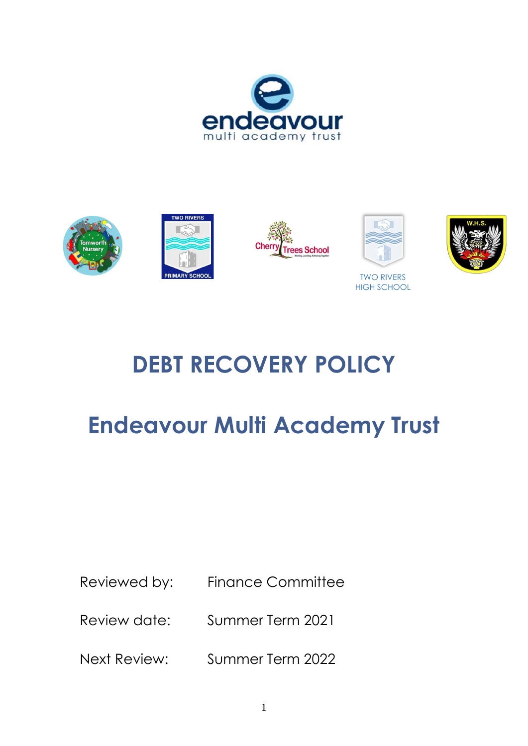



# **DEBT RECOVERY POLICY**

# **Endeavour Multi Academy Trust**

Reviewed by: Finance Committee

Review date: Summer Term 2021

Next Review: Summer Term 2022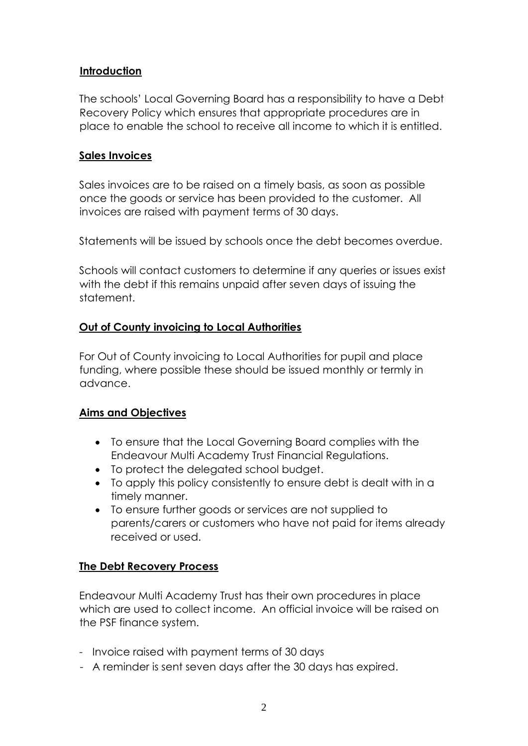## **Introduction**

The schools' Local Governing Board has a responsibility to have a Debt Recovery Policy which ensures that appropriate procedures are in place to enable the school to receive all income to which it is entitled.

## **Sales Invoices**

Sales invoices are to be raised on a timely basis, as soon as possible once the goods or service has been provided to the customer. All invoices are raised with payment terms of 30 days.

Statements will be issued by schools once the debt becomes overdue.

Schools will contact customers to determine if any queries or issues exist with the debt if this remains unpaid after seven days of issuing the statement.

# **Out of County invoicing to Local Authorities**

For Out of County invoicing to Local Authorities for pupil and place funding, where possible these should be issued monthly or termly in advance.

## **Aims and Objectives**

- To ensure that the Local Governing Board complies with the Endeavour Multi Academy Trust Financial Regulations.
- To protect the delegated school budget.
- To apply this policy consistently to ensure debt is dealt with in a timely manner.
- To ensure further goods or services are not supplied to parents/carers or customers who have not paid for items already received or used.

# **The Debt Recovery Process**

Endeavour Multi Academy Trust has their own procedures in place which are used to collect income. An official invoice will be raised on the PSF finance system.

- Invoice raised with payment terms of 30 days
- A reminder is sent seven days after the 30 days has expired.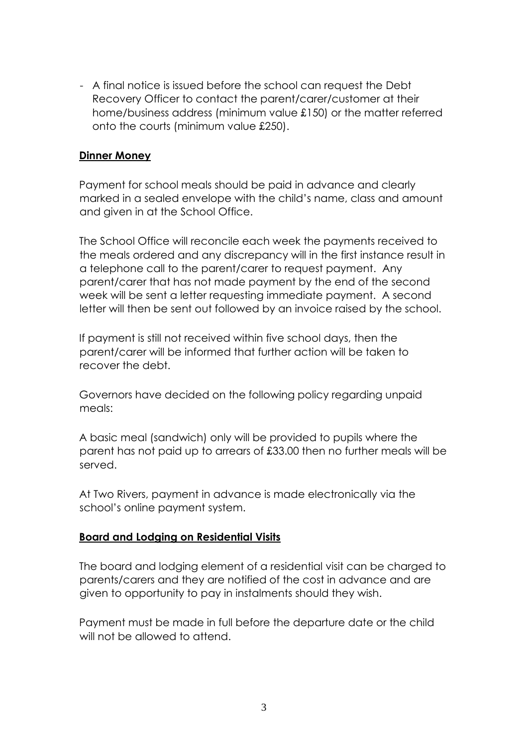- A final notice is issued before the school can request the Debt Recovery Officer to contact the parent/carer/customer at their home/business address (minimum value £150) or the matter referred onto the courts (minimum value £250).

### **Dinner Money**

Payment for school meals should be paid in advance and clearly marked in a sealed envelope with the child's name, class and amount and given in at the School Office.

The School Office will reconcile each week the payments received to the meals ordered and any discrepancy will in the first instance result in a telephone call to the parent/carer to request payment. Any parent/carer that has not made payment by the end of the second week will be sent a letter requesting immediate payment. A second letter will then be sent out followed by an invoice raised by the school.

If payment is still not received within five school days, then the parent/carer will be informed that further action will be taken to recover the debt.

Governors have decided on the following policy regarding unpaid meals:

A basic meal (sandwich) only will be provided to pupils where the parent has not paid up to arrears of £33.00 then no further meals will be served.

At Two Rivers, payment in advance is made electronically via the school's online payment system.

#### **Board and Lodging on Residential Visits**

The board and lodging element of a residential visit can be charged to parents/carers and they are notified of the cost in advance and are given to opportunity to pay in instalments should they wish.

Payment must be made in full before the departure date or the child will not be allowed to attend.